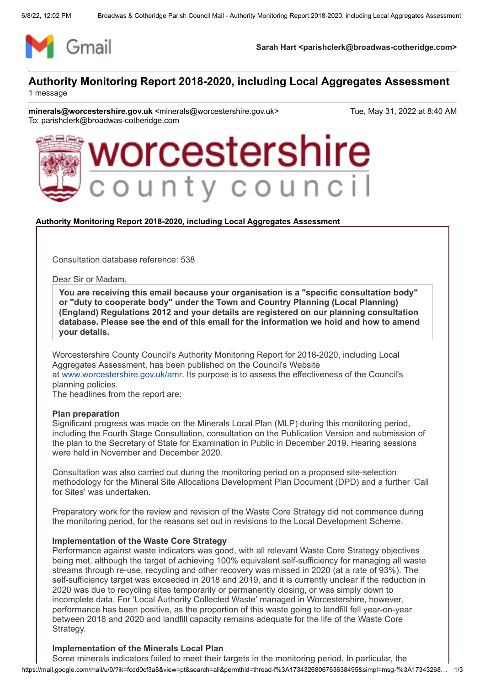

**Sarah Hart <parishclerk@broadwas-cotheridge.com>**

### **Authority Monitoring Report 2018-2020, including Local Aggregates Assessment** 1 message

**minerals@worcestershire.gov.uk** <minerals@worcestershire.gov.uk> Tue, May 31, 2022 at 8:40 AM To: parishclerk@broadwas-cotheridge.com



#### **Authority Monitoring Report 2018-2020, including Local Aggregates Assessment**

Consultation database reference: 538

Dear Sir or Madam,

**You are receiving this email because your organisation is a "specific consultation body" or "duty to cooperate body" under the Town and Country Planning (Local Planning) (England) Regulations 2012 and your details are registered on our planning consultation database. Please see the end of this email for the information we hold and how to amend your details.**

Worcestershire County Council's Authority Monitoring Report for 2018-2020, including Local Aggregates Assessment, has been published on the Council's Website at [www.worcestershire.gov.uk/amr](http://www.worcestershire.gov.uk/amr). Its purpose is to assess the effectiveness of the Council's planning policies.

The headlines from the report are:

#### **Plan preparation**

Significant progress was made on the Minerals Local Plan (MLP) during this monitoring period, including the Fourth Stage Consultation, consultation on the Publication Version and submission of the plan to the Secretary of State for Examination in Public in December 2019. Hearing sessions were held in November and December 2020.

Consultation was also carried out during the monitoring period on a proposed site-selection methodology for the Mineral Site Allocations Development Plan Document (DPD) and a further 'Call for Sites' was undertaken.

Preparatory work for the review and revision of the Waste Core Strategy did not commence during the monitoring period, for the reasons set out in revisions to the Local Development Scheme.

#### **Implementation of the Waste Core Strategy**

Performance against waste indicators was good, with all relevant Waste Core Strategy objectives being met, although the target of achieving 100% equivalent self-sufficiency for managing all waste streams through re-use, recycling and other recovery was missed in 2020 (at a rate of 93%). The self-sufficiency target was exceeded in 2018 and 2019, and it is currently unclear if the reduction in 2020 was due to recycling sites temporarily or permanently closing, or was simply down to incomplete data. For 'Local Authority Collected Waste' managed in Worcestershire, however, performance has been positive, as the proportion of this waste going to landfill fell year-on-year between 2018 and 2020 and landfill capacity remains adequate for the life of the Waste Core Strategy.

#### **Implementation of the Minerals Local Plan**

https://mail.google.com/mail/u/0/?ik=fcdd0cf3a8&view=pt&search=all&permthid=thread-f%3A1734326806763638495&simpl=msg-f%3A17343268… 1/3 Some minerals indicators failed to meet their targets in the monitoring period. In particular, the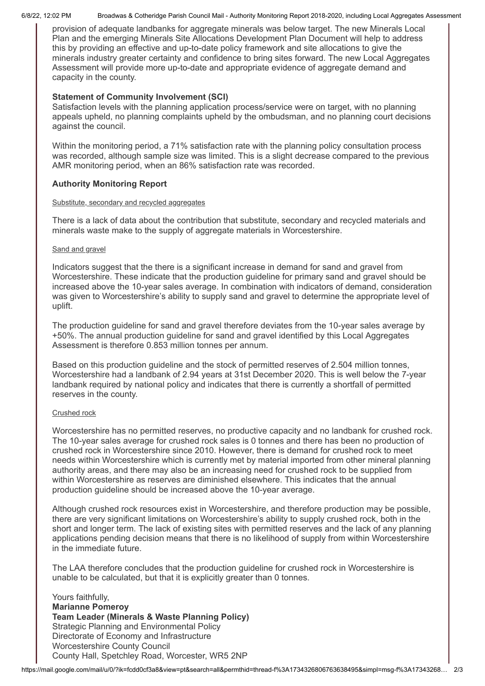6/8/22, 12:02 PM Broadwas & Cotheridge Parish Council Mail - Authority Monitoring Report 2018-2020, including Local Aggregates Assessment

provision of adequate landbanks for aggregate minerals was below target. The new Minerals Local Plan and the emerging Minerals Site Allocations Development Plan Document will help to address this by providing an effective and up-to-date policy framework and site allocations to give the minerals industry greater certainty and confidence to bring sites forward. The new Local Aggregates Assessment will provide more up-to-date and appropriate evidence of aggregate demand and capacity in the county.

# **Statement of Community Involvement (SCI)**

Satisfaction levels with the planning application process/service were on target, with no planning appeals upheld, no planning complaints upheld by the ombudsman, and no planning court decisions against the council.

Within the monitoring period, a 71% satisfaction rate with the planning policy consultation process was recorded, although sample size was limited. This is a slight decrease compared to the previous AMR monitoring period, when an 86% satisfaction rate was recorded.

# **Authority Monitoring Report**

## Substitute, secondary and recycled aggregates

There is a lack of data about the contribution that substitute, secondary and recycled materials and minerals waste make to the supply of aggregate materials in Worcestershire.

## Sand and gravel

Indicators suggest that the there is a significant increase in demand for sand and gravel from Worcestershire. These indicate that the production guideline for primary sand and gravel should be increased above the 10-year sales average. In combination with indicators of demand, consideration was given to Worcestershire's ability to supply sand and gravel to determine the appropriate level of uplift.

The production guideline for sand and gravel therefore deviates from the 10-year sales average by +50%. The annual production guideline for sand and gravel identified by this Local Aggregates Assessment is therefore 0.853 million tonnes per annum.

Based on this production guideline and the stock of permitted reserves of 2.504 million tonnes, Worcestershire had a landbank of 2.94 years at 31st December 2020. This is well below the 7-year landbank required by national policy and indicates that there is currently a shortfall of permitted reserves in the county.

## Crushed rock

Worcestershire has no permitted reserves, no productive capacity and no landbank for crushed rock. The 10-year sales average for crushed rock sales is 0 tonnes and there has been no production of crushed rock in Worcestershire since 2010. However, there is demand for crushed rock to meet needs within Worcestershire which is currently met by material imported from other mineral planning authority areas, and there may also be an increasing need for crushed rock to be supplied from within Worcestershire as reserves are diminished elsewhere. This indicates that the annual production guideline should be increased above the 10-year average.

Although crushed rock resources exist in Worcestershire, and therefore production may be possible, there are very significant limitations on Worcestershire's ability to supply crushed rock, both in the short and longer term. The lack of existing sites with permitted reserves and the lack of any planning applications pending decision means that there is no likelihood of supply from within Worcestershire in the immediate future.

The LAA therefore concludes that the production guideline for crushed rock in Worcestershire is unable to be calculated, but that it is explicitly greater than 0 tonnes.

Yours faithfully. **Marianne Pomeroy Team Leader (Minerals & Waste Planning Policy)** Strategic Planning and Environmental Policy Directorate of Economy and Infrastructure Worcestershire County Council County Hall, Spetchley Road, Worcester, WR5 2NP